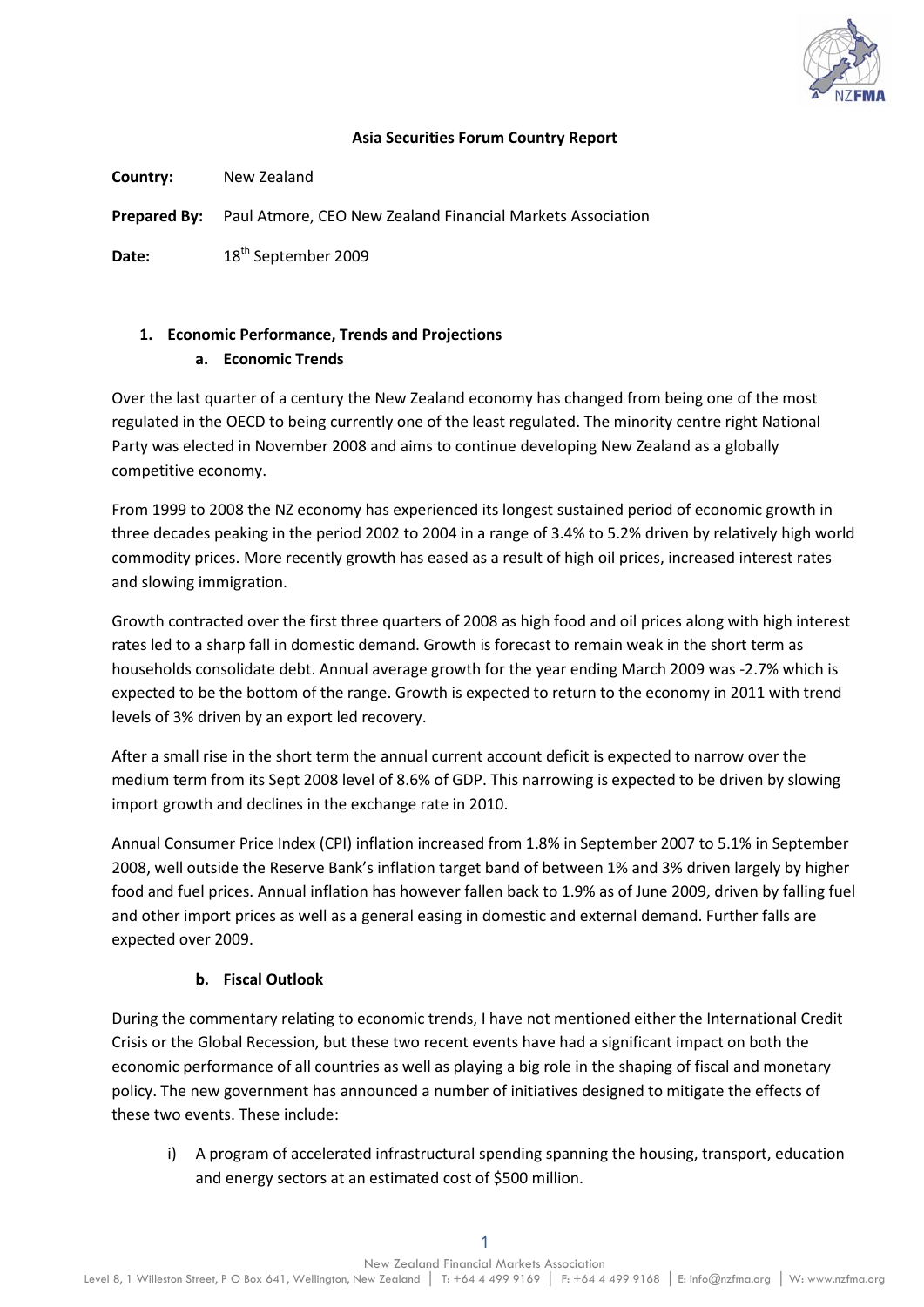

#### **Asia Securities Forum Country Report**

**Country:** New Zealand

**Prepared By:** Paul Atmore, CEO New Zealand Financial Markets Association

Date: 18<sup>th</sup> September 2009

# **1. Economic Performance, Trends and Projections**

**a. Economic Trends**

Over the last quarter of a century the New Zealand economy has changed from being one of the most regulated in the OECD to being currently one of the least regulated. The minority centre right National Party was elected in November 2008 and aims to continue developing New Zealand as a globally competitive economy.

From 1999 to 2008 the NZ economy has experienced its longest sustained period of economic growth in three decades peaking in the period 2002 to 2004 in a range of 3.4% to 5.2% driven by relatively high world commodity prices. More recently growth has eased as a result of high oil prices, increased interest rates and slowing immigration.

Growth contracted over the first three quarters of 2008 as high food and oil prices along with high interest rates led to a sharp fall in domestic demand. Growth is forecast to remain weak in the short term as households consolidate debt. Annual average growth for the year ending March 2009 was -2.7% which is expected to be the bottom of the range. Growth is expected to return to the economy in 2011 with trend levels of 3% driven by an export led recovery.

After a small rise in the short term the annual current account deficit is expected to narrow over the medium term from its Sept 2008 level of 8.6% of GDP. This narrowing is expected to be driven by slowing import growth and declines in the exchange rate in 2010.

Annual Consumer Price Index (CPI) inflation increased from 1.8% in September 2007 to 5.1% in September 2008, well outside the Reserve Bank's inflation target band of between 1% and 3% driven largely by higher food and fuel prices. Annual inflation has however fallen back to 1.9% as of June 2009, driven by falling fuel and other import prices as well as a general easing in domestic and external demand. Further falls are expected over 2009.

## **b. Fiscal Outlook**

During the commentary relating to economic trends, I have not mentioned either the International Credit Crisis or the Global Recession, but these two recent events have had a significant impact on both the economic performance of all countries as well as playing a big role in the shaping of fiscal and monetary policy. The new government has announced a number of initiatives designed to mitigate the effects of these two events. These include:

i) A program of accelerated infrastructural spending spanning the housing, transport, education and energy sectors at an estimated cost of \$500 million.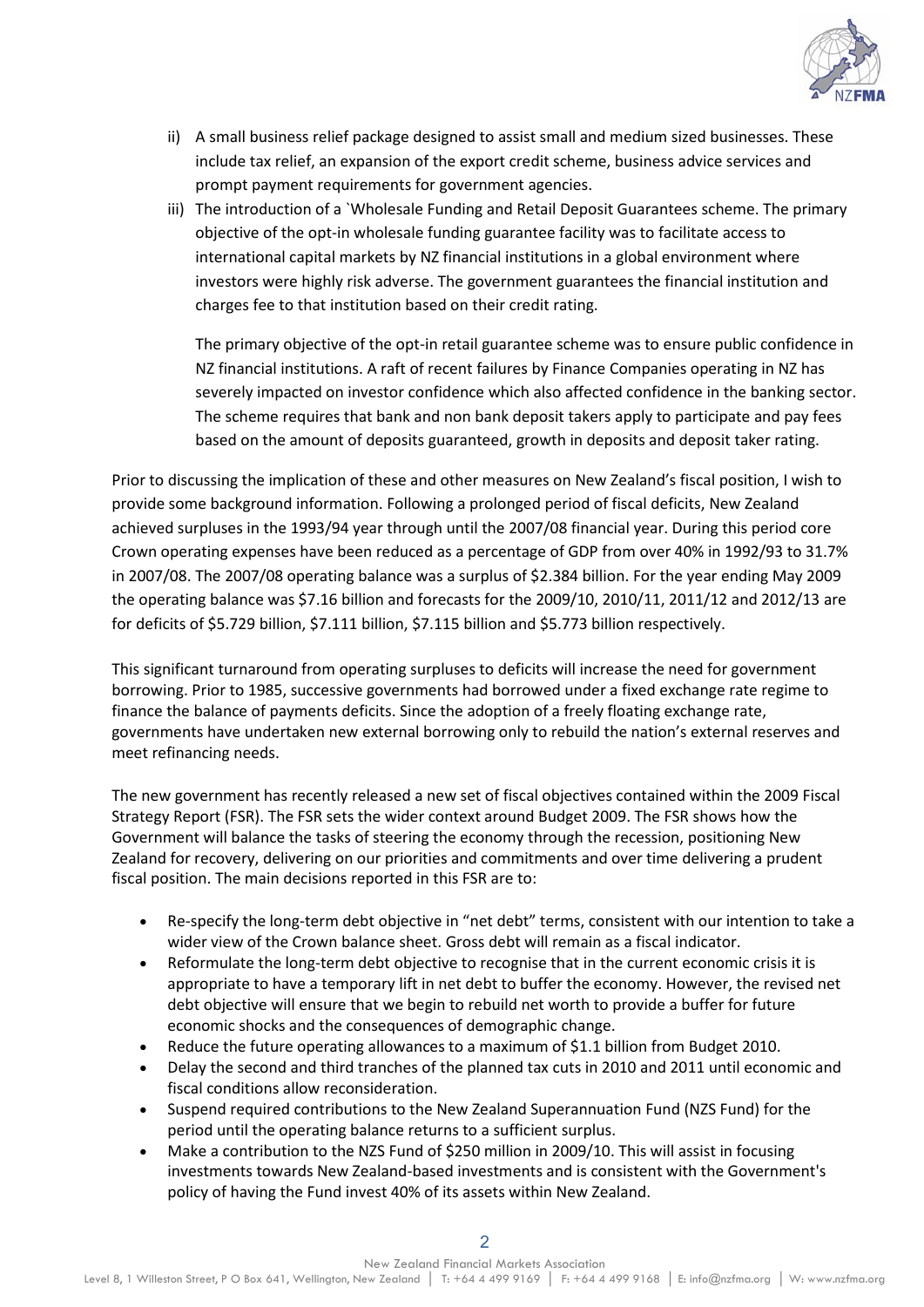

- ii) A small business relief package designed to assist small and medium sized businesses. These include tax relief, an expansion of the export credit scheme, business advice services and prompt payment requirements for government agencies.
- iii) The introduction of a `Wholesale Funding and Retail Deposit Guarantees scheme. The primary objective of the opt-in wholesale funding guarantee facility was to facilitate access to international capital markets by NZ financial institutions in a global environment where investors were highly risk adverse. The government guarantees the financial institution and charges fee to that institution based on their credit rating.

The primary objective of the opt-in retail guarantee scheme was to ensure public confidence in NZ financial institutions. A raft of recent failures by Finance Companies operating in NZ has severely impacted on investor confidence which also affected confidence in the banking sector. The scheme requires that bank and non bank deposit takers apply to participate and pay fees based on the amount of deposits guaranteed, growth in deposits and deposit taker rating.

Prior to discussing the implication of these and other measures on New Zealand's fiscal position, I wish to provide some background information. Following a prolonged period of fiscal deficits, New Zealand achieved surpluses in the 1993/94 year through until the 2007/08 financial year. During this period core Crown operating expenses have been reduced as a percentage of GDP from over 40% in 1992/93 to 31.7% in 2007/08. The 2007/08 operating balance was a surplus of \$2.384 billion. For the year ending May 2009 the operating balance was \$7.16 billion and forecasts for the 2009/10, 2010/11, 2011/12 and 2012/13 are for deficits of \$5.729 billion, \$7.111 billion, \$7.115 billion and \$5.773 billion respectively.

This significant turnaround from operating surpluses to deficits will increase the need for government borrowing. Prior to 1985, successive governments had borrowed under a fixed exchange rate regime to finance the balance of payments deficits. Since the adoption of a freely floating exchange rate, governments have undertaken new external borrowing only to rebuild the nation's external reserves and meet refinancing needs.

The new government has recently released a new set of fiscal objectives contained within the 2009 Fiscal Strategy Report (FSR). The FSR sets the wider context around Budget 2009. The FSR shows how the Government will balance the tasks of steering the economy through the recession, positioning New Zealand for recovery, delivering on our priorities and commitments and over time delivering a prudent fiscal position. The main decisions reported in this FSR are to:

- Re-specify the long-term debt objective in "net debt" terms, consistent with our intention to take a wider view of the Crown balance sheet. Gross debt will remain as a fiscal indicator.
- Reformulate the long-term debt objective to recognise that in the current economic crisis it is appropriate to have a temporary lift in net debt to buffer the economy. However, the revised net debt objective will ensure that we begin to rebuild net worth to provide a buffer for future economic shocks and the consequences of demographic change.
- Reduce the future operating allowances to a maximum of \$1.1 billion from Budget 2010.
- Delay the second and third tranches of the planned tax cuts in 2010 and 2011 until economic and fiscal conditions allow reconsideration.
- Suspend required contributions to the New Zealand Superannuation Fund (NZS Fund) for the period until the operating balance returns to a sufficient surplus.
- Make a contribution to the NZS Fund of \$250 million in 2009/10. This will assist in focusing investments towards New Zealand-based investments and is consistent with the Government's policy of having the Fund invest 40% of its assets within New Zealand.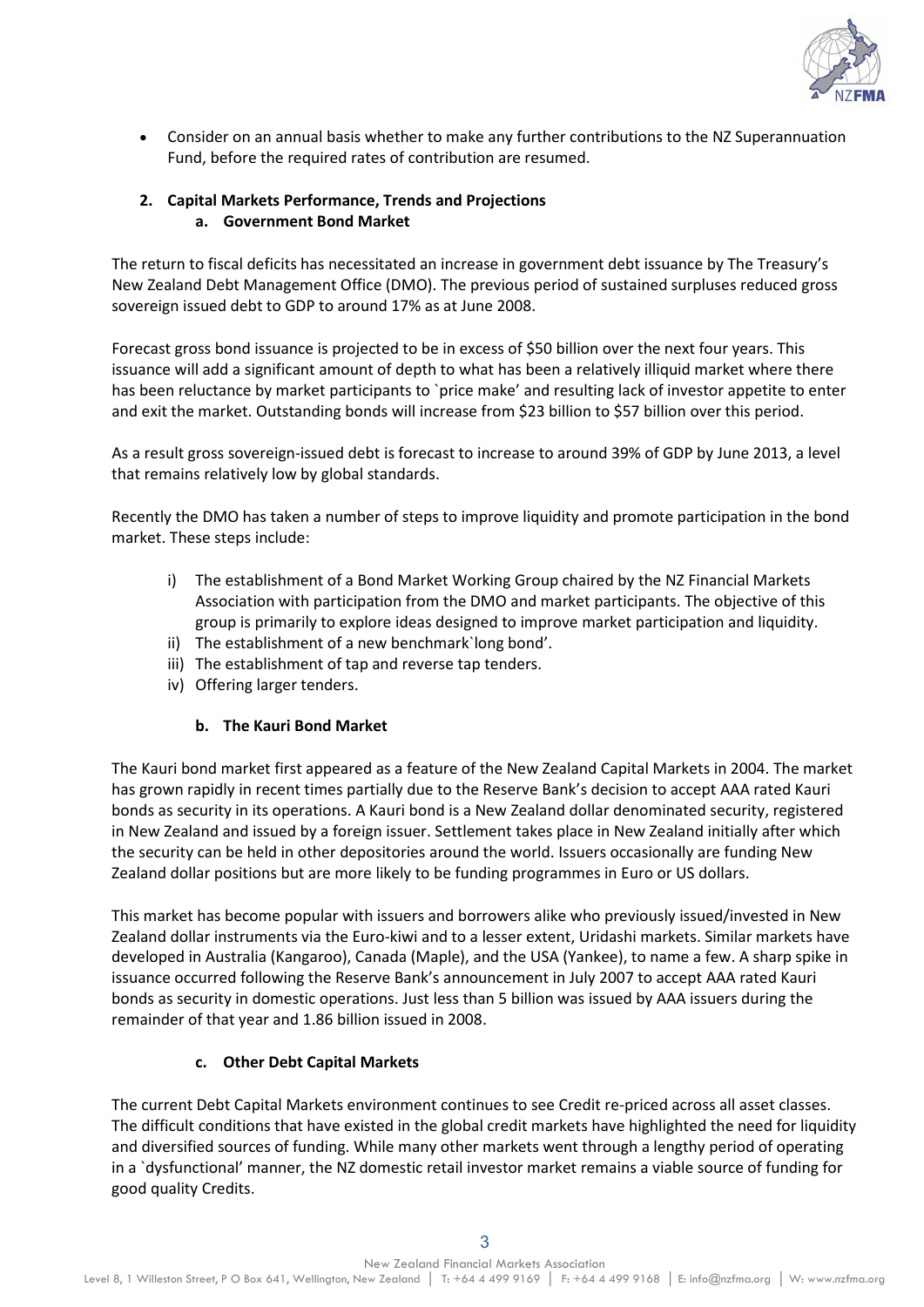

• Consider on an annual basis whether to make any further contributions to the NZ Superannuation Fund, before the required rates of contribution are resumed.

### **2. Capital Markets Performance, Trends and Projections a. Government Bond Market**

The return to fiscal deficits has necessitated an increase in government debt issuance by The Treasury's New Zealand Debt Management Office (DMO). The previous period of sustained surpluses reduced gross sovereign issued debt to GDP to around 17% as at June 2008.

Forecast gross bond issuance is projected to be in excess of \$50 billion over the next four years. This issuance will add a significant amount of depth to what has been a relatively illiquid market where there has been reluctance by market participants to 'price make' and resulting lack of investor appetite to enter and exit the market. Outstanding bonds will increase from \$23 billion to \$57 billion over this period.

As a result gross sovereign-issued debt is forecast to increase to around 39% of GDP by June 2013, a level that remains relatively low by global standards.

Recently the DMO has taken a number of steps to improve liquidity and promote participation in the bond market. These steps include:

- i) The establishment of a Bond Market Working Group chaired by the NZ Financial Markets Association with participation from the DMO and market participants. The objective of this group is primarily to explore ideas designed to improve market participation and liquidity.
- ii) The establishment of a new benchmark`long bond'.
- iii) The establishment of tap and reverse tap tenders.
- iv) Offering larger tenders.

#### **b. The Kauri Bond Market**

The Kauri bond market first appeared as a feature of the New Zealand Capital Markets in 2004. The market has grown rapidly in recent times partially due to the Reserve Bank's decision to accept AAA rated Kauri bonds as security in its operations. A Kauri bond is a New Zealand dollar denominated security, registered in New Zealand and issued by a foreign issuer. Settlement takes place in New Zealand initially after which the security can be held in other depositories around the world. Issuers occasionally are funding New Zealand dollar positions but are more likely to be funding programmes in Euro or US dollars.

This market has become popular with issuers and borrowers alike who previously issued/invested in New Zealand dollar instruments via the Euro-kiwi and to a lesser extent, Uridashi markets. Similar markets have developed in Australia (Kangaroo), Canada (Maple), and the USA (Yankee), to name a few. A sharp spike in issuance occurred following the Reserve Bank's announcement in July 2007 to accept AAA rated Kauri bonds as security in domestic operations. Just less than 5 billion was issued by AAA issuers during the remainder of that year and 1.86 billion issued in 2008.

## **c. Other Debt Capital Markets**

The current Debt Capital Markets environment continues to see Credit re-priced across all asset classes. The difficult conditions that have existed in the global credit markets have highlighted the need for liquidity and diversified sources of funding. While many other markets went through a lengthy period of operating in a `dysfunctional' manner, the NZ domestic retail investor market remains a viable source of funding for good quality Credits.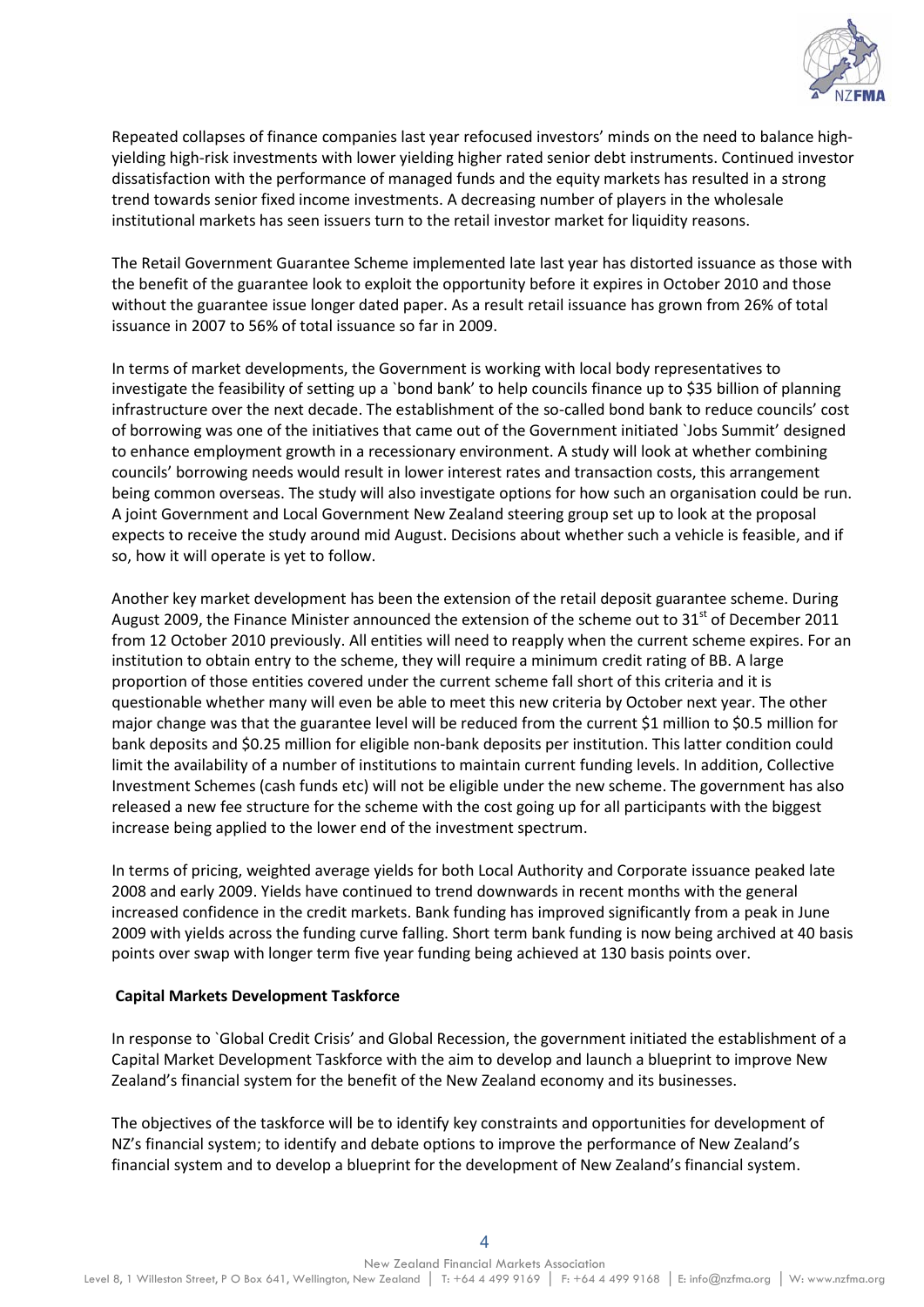

Repeated collapses of finance companies last year refocused investors' minds on the need to balance highyielding high-risk investments with lower yielding higher rated senior debt instruments. Continued investor dissatisfaction with the performance of managed funds and the equity markets has resulted in a strong trend towards senior fixed income investments. A decreasing number of players in the wholesale institutional markets has seen issuers turn to the retail investor market for liquidity reasons.

The Retail Government Guarantee Scheme implemented late last year has distorted issuance as those with the benefit of the guarantee look to exploit the opportunity before it expires in October 2010 and those without the guarantee issue longer dated paper. As a result retail issuance has grown from 26% of total issuance in 2007 to 56% of total issuance so far in 2009.

In terms of market developments, the Government is working with local body representatives to investigate the feasibility of setting up a `bond bank' to help councils finance up to \$35 billion of planning infrastructure over the next decade. The establishment of the so-called bond bank to reduce councils' cost of borrowing was one of the initiatives that came out of the Government initiated `Jobs Summit' designed to enhance employment growth in a recessionary environment. A study will look at whether combining councils' borrowing needs would result in lower interest rates and transaction costs, this arrangement being common overseas. The study will also investigate options for how such an organisation could be run. A joint Government and Local Government New Zealand steering group set up to look at the proposal expects to receive the study around mid August. Decisions about whether such a vehicle is feasible, and if so, how it will operate is yet to follow.

Another key market development has been the extension of the retail deposit guarantee scheme. During August 2009, the Finance Minister announced the extension of the scheme out to  $31<sup>st</sup>$  of December 2011 from 12 October 2010 previously. All entities will need to reapply when the current scheme expires. For an institution to obtain entry to the scheme, they will require a minimum credit rating of BB. A large proportion of those entities covered under the current scheme fall short of this criteria and it is questionable whether many will even be able to meet this new criteria by October next year. The other major change was that the guarantee level will be reduced from the current \$1 million to \$0.5 million for bank deposits and \$0.25 million for eligible non-bank deposits per institution. This latter condition could limit the availability of a number of institutions to maintain current funding levels. In addition, Collective Investment Schemes (cash funds etc) will not be eligible under the new scheme. The government has also released a new fee structure for the scheme with the cost going up for all participants with the biggest increase being applied to the lower end of the investment spectrum.

In terms of pricing, weighted average yields for both Local Authority and Corporate issuance peaked late 2008 and early 2009. Yields have continued to trend downwards in recent months with the general increased confidence in the credit markets. Bank funding has improved significantly from a peak in June 2009 with yields across the funding curve falling. Short term bank funding is now being archived at 40 basis points over swap with longer term five year funding being achieved at 130 basis points over.

#### **Capital Markets Development Taskforce**

In response to `Global Credit Crisis' and Global Recession, the government initiated the establishment of a Capital Market Development Taskforce with the aim to develop and launch a blueprint to improve New Zealand's financial system for the benefit of the New Zealand economy and its businesses.

The objectives of the taskforce will be to identify key constraints and opportunities for development of NZ's financial system; to identify and debate options to improve the performance of New Zealand's financial system and to develop a blueprint for the development of New Zealand's financial system.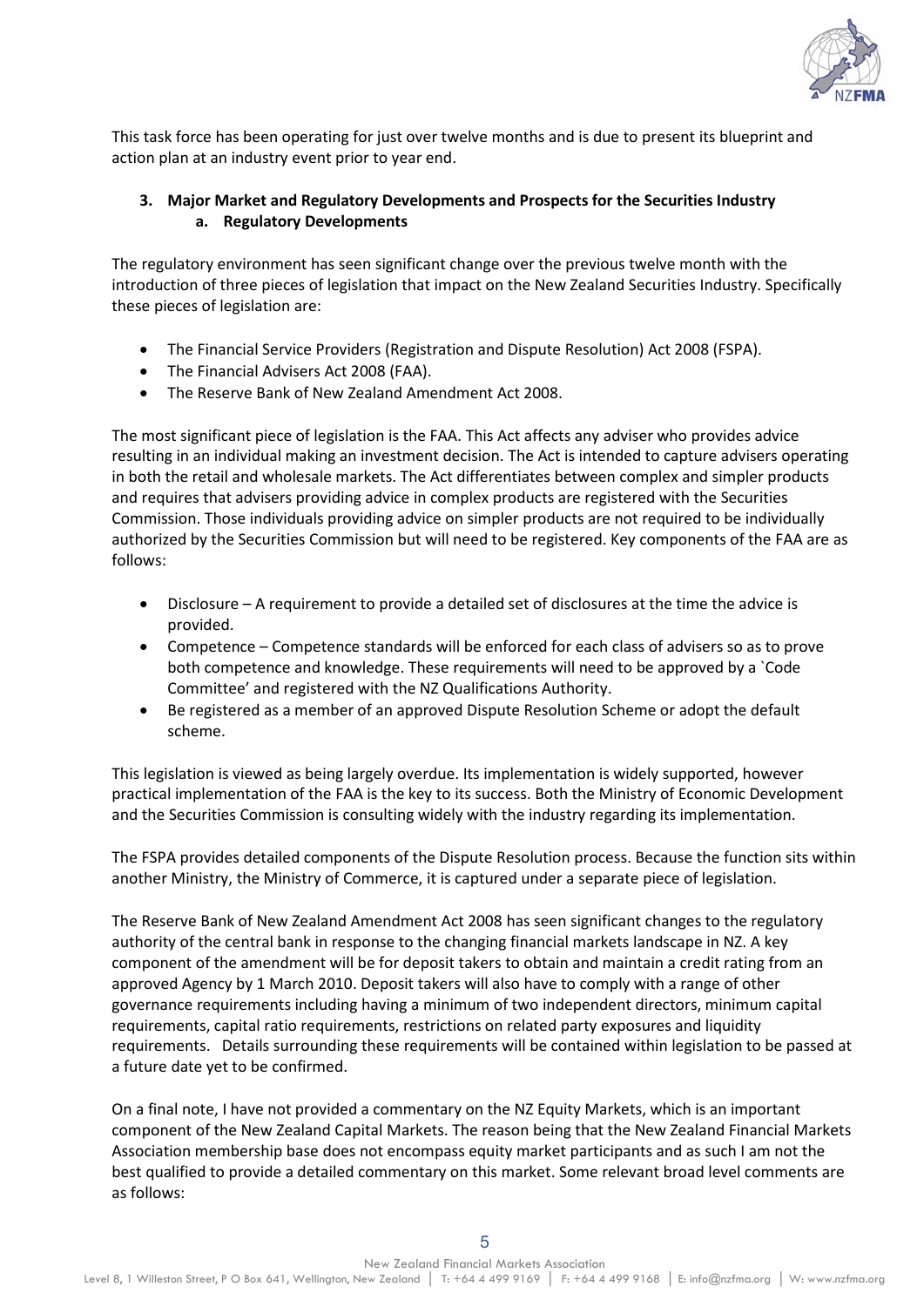

This task force has been operating for just over twelve months and is due to present its blueprint and action plan at an industry event prior to year end.

## **3. Major Market and Regulatory Developments and Prospects for the Securities Industry a. Regulatory Developments**

The regulatory environment has seen significant change over the previous twelve month with the introduction of three pieces of legislation that impact on the New Zealand Securities Industry. Specifically these pieces of legislation are:

- The Financial Service Providers (Registration and Dispute Resolution) Act 2008 (FSPA).
- The Financial Advisers Act 2008 (FAA).
- The Reserve Bank of New Zealand Amendment Act 2008.

The most significant piece of legislation is the FAA. This Act affects any adviser who provides advice resulting in an individual making an investment decision. The Act is intended to capture advisers operating in both the retail and wholesale markets. The Act differentiates between complex and simpler products and requires that advisers providing advice in complex products are registered with the Securities Commission. Those individuals providing advice on simpler products are not required to be individually authorized by the Securities Commission but will need to be registered. Key components of the FAA are as follows:

- Disclosure A requirement to provide a detailed set of disclosures at the time the advice is provided.
- Competence Competence standards will be enforced for each class of advisers so as to prove both competence and knowledge. These requirements will need to be approved by a `Code Committee' and registered with the NZ Qualifications Authority.
- Be registered as a member of an approved Dispute Resolution Scheme or adopt the default scheme.

This legislation is viewed as being largely overdue. Its implementation is widely supported, however practical implementation of the FAA is the key to its success. Both the Ministry of Economic Development and the Securities Commission is consulting widely with the industry regarding its implementation.

The FSPA provides detailed components of the Dispute Resolution process. Because the function sits within another Ministry, the Ministry of Commerce, it is captured under a separate piece of legislation.

The Reserve Bank of New Zealand Amendment Act 2008 has seen significant changes to the regulatory authority of the central bank in response to the changing financial markets landscape in NZ. A key component of the amendment will be for deposit takers to obtain and maintain a credit rating from an approved Agency by 1 March 2010. Deposit takers will also have to comply with a range of other governance requirements including having a minimum of two independent directors, minimum capital requirements, capital ratio requirements, restrictions on related party exposures and liquidity requirements. Details surrounding these requirements will be contained within legislation to be passed at a future date yet to be confirmed.

On a final note, I have not provided a commentary on the NZ Equity Markets, which is an important component of the New Zealand Capital Markets. The reason being that the New Zealand Financial Markets Association membership base does not encompass equity market participants and as such I am not the best qualified to provide a detailed commentary on this market. Some relevant broad level comments are as follows: